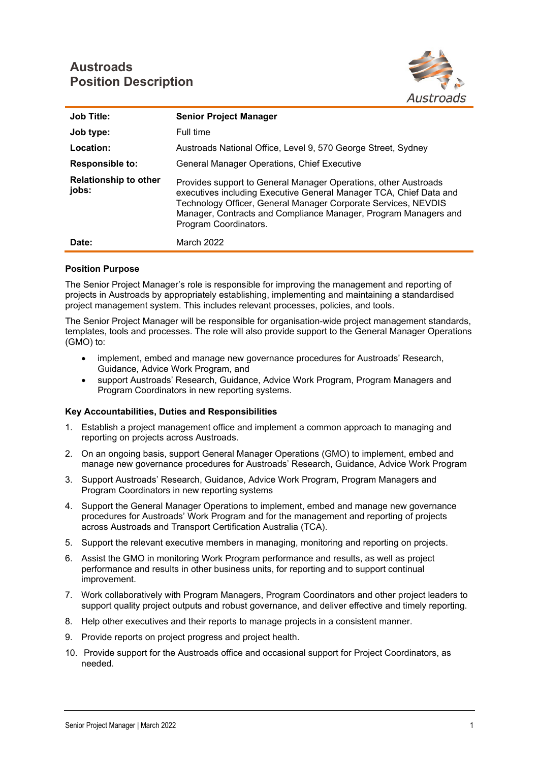# **Austroads Position Description**



| <b>Job Title:</b>                     | <b>Senior Project Manager</b>                                                                                                                                                                                                                                                                       |
|---------------------------------------|-----------------------------------------------------------------------------------------------------------------------------------------------------------------------------------------------------------------------------------------------------------------------------------------------------|
| Job type:                             | Full time                                                                                                                                                                                                                                                                                           |
| Location:                             | Austroads National Office, Level 9, 570 George Street, Sydney                                                                                                                                                                                                                                       |
| <b>Responsible to:</b>                | General Manager Operations, Chief Executive                                                                                                                                                                                                                                                         |
| <b>Relationship to other</b><br>jobs: | Provides support to General Manager Operations, other Austroads<br>executives including Executive General Manager TCA, Chief Data and<br>Technology Officer, General Manager Corporate Services, NEVDIS<br>Manager, Contracts and Compliance Manager, Program Managers and<br>Program Coordinators. |
| Date:                                 | March 2022                                                                                                                                                                                                                                                                                          |

### **Position Purpose**

The Senior Project Manager's role is responsible for improving the management and reporting of projects in Austroads by appropriately establishing, implementing and maintaining a standardised project management system. This includes relevant processes, policies, and tools.

The Senior Project Manager will be responsible for organisation-wide project management standards, templates, tools and processes. The role will also provide support to the General Manager Operations (GMO) to:

- implement, embed and manage new governance procedures for Austroads' Research, Guidance, Advice Work Program, and
- support Austroads' Research, Guidance, Advice Work Program, Program Managers and Program Coordinators in new reporting systems.

### **Key Accountabilities, Duties and Responsibilities**

- 1. Establish a project management office and implement a common approach to managing and reporting on projects across Austroads.
- 2. On an ongoing basis, support General Manager Operations (GMO) to implement, embed and manage new governance procedures for Austroads' Research, Guidance, Advice Work Program
- 3. Support Austroads' Research, Guidance, Advice Work Program, Program Managers and Program Coordinators in new reporting systems
- 4. Support the General Manager Operations to implement, embed and manage new governance procedures for Austroads' Work Program and for the management and reporting of projects across Austroads and Transport Certification Australia (TCA).
- 5. Support the relevant executive members in managing, monitoring and reporting on projects.
- 6. Assist the GMO in monitoring Work Program performance and results, as well as project performance and results in other business units, for reporting and to support continual improvement.
- 7. Work collaboratively with Program Managers, Program Coordinators and other project leaders to support quality project outputs and robust governance, and deliver effective and timely reporting.
- 8. Help other executives and their reports to manage projects in a consistent manner.
- 9. Provide reports on project progress and project health.
- 10. Provide support for the Austroads office and occasional support for Project Coordinators, as needed.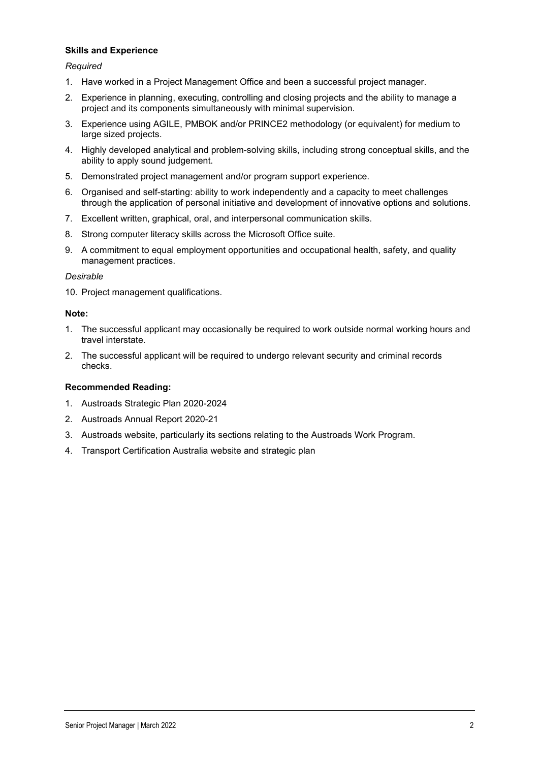## **Skills and Experience**

### *Required*

- 1. Have worked in a Project Management Office and been a successful project manager.
- 2. Experience in planning, executing, controlling and closing projects and the ability to manage a project and its components simultaneously with minimal supervision.
- 3. Experience using AGILE, PMBOK and/or PRINCE2 methodology (or equivalent) for medium to large sized projects.
- 4. Highly developed analytical and problem-solving skills, including strong conceptual skills, and the ability to apply sound judgement.
- 5. Demonstrated project management and/or program support experience.
- 6. Organised and self-starting: ability to work independently and a capacity to meet challenges through the application of personal initiative and development of innovative options and solutions.
- 7. Excellent written, graphical, oral, and interpersonal communication skills.
- 8. Strong computer literacy skills across the Microsoft Office suite.
- 9. A commitment to equal employment opportunities and occupational health, safety, and quality management practices.

#### *Desirable*

10. Project management qualifications.

#### **Note:**

- 1. The successful applicant may occasionally be required to work outside normal working hours and travel interstate.
- 2. The successful applicant will be required to undergo relevant security and criminal records checks.

### **Recommended Reading:**

- 1. Austroads Strategic Plan 2020-2024
- 2. Austroads Annual Report 2020-21
- 3. Austroads website, particularly its sections relating to the Austroads Work Program.
- 4. Transport Certification Australia website and strategic plan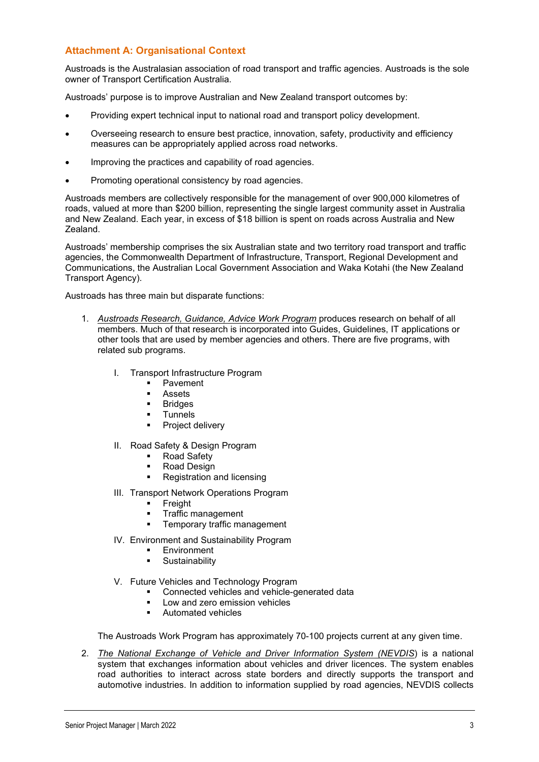# **Attachment A: Organisational Context**

Austroads is the Australasian association of road transport and traffic agencies. Austroads is the sole owner of Transport Certification Australia.

Austroads' purpose is to improve Australian and New Zealand transport outcomes by:

- Providing expert technical input to national road and transport policy development.
- Overseeing research to ensure best practice, innovation, safety, productivity and efficiency measures can be appropriately applied across road networks.
- Improving the practices and capability of road agencies.
- Promoting operational consistency by road agencies.

Austroads members are collectively responsible for the management of over 900,000 kilometres of roads, valued at more than \$200 billion, representing the single largest community asset in Australia and New Zealand. Each year, in excess of \$18 billion is spent on roads across Australia and New Zealand.

Austroads' membership comprises the six Australian state and two territory road transport and traffic agencies, the Commonwealth Department of Infrastructure, Transport, Regional Development and Communications, the Australian Local Government Association and Waka Kotahi (the New Zealand Transport Agency).

Austroads has three main but disparate functions:

- 1. *Austroads Research, Guidance, Advice Work Program* produces research on behalf of all members. Much of that research is incorporated into Guides, Guidelines, IT applications or other tools that are used by member agencies and others. There are five programs, with related sub programs.
	- I. Transport Infrastructure Program
		- **Pavement**
		- **Assets**<br>**Bridges**
		- **Bridges**
		- **Tunnels**
		- Project delivery
	- II. Road Safety & Design Program
		- **Road Safety**
		- Road Design
		- Registration and licensing
	- III. Transport Network Operations Program
		- **Freight**
		- **Traffic management**
		- **Fig.** Temporary traffic management
	- IV. Environment and Sustainability Program
		- Environment
		- **Sustainability**
	- V. Future Vehicles and Technology Program
		- Connected vehicles and vehicle-generated data
		- Low and zero emission vehicles
		- **Automated vehicles**

The Austroads Work Program has approximately 70-100 projects current at any given time.

2. *The National Exchange of Vehicle and Driver Information System (NEVDIS*) is a national system that exchanges information about vehicles and driver licences. The system enables road authorities to interact across state borders and directly supports the transport and automotive industries. In addition to information supplied by road agencies, NEVDIS collects